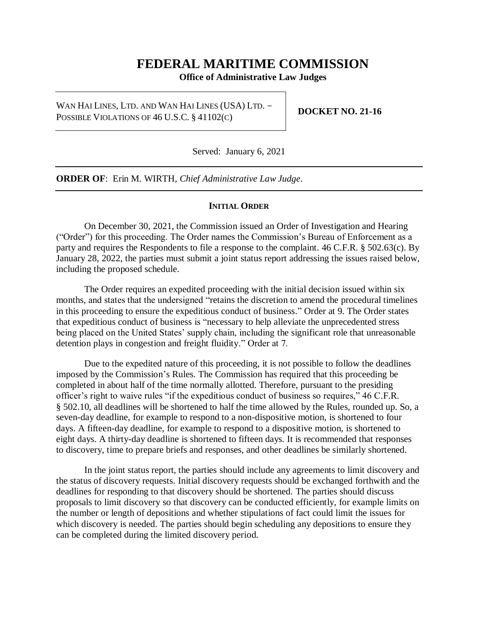# **FEDERAL MARITIME COMMISSION**

**Office of Administrative Law Judges**

WAN HAI LINES, LTD. AND WAN HAI LINES (USA) LTD. - POSSIBLE VIOLATIONS OF 46 U.S.C. § 41102(C)

**DOCKET NO. 21-16**

Served: January 6, 2021

**ORDER OF**: Erin M. WIRTH, *Chief Administrative Law Judge*.

#### **INITIAL ORDER**

On December 30, 2021, the Commission issued an Order of Investigation and Hearing ("Order") for this proceeding. The Order names the Commission's Bureau of Enforcement as a party and requires the Respondents to file a response to the complaint. 46 C.F.R. § 502.63(c). By January 28, 2022, the parties must submit a joint status report addressing the issues raised below, including the proposed schedule.

The Order requires an expedited proceeding with the initial decision issued within six months, and states that the undersigned "retains the discretion to amend the procedural timelines in this proceeding to ensure the expeditious conduct of business." Order at 9. The Order states that expeditious conduct of business is "necessary to help alleviate the unprecedented stress being placed on the United States' supply chain, including the significant role that unreasonable detention plays in congestion and freight fluidity." Order at 7.

Due to the expedited nature of this proceeding, it is not possible to follow the deadlines imposed by the Commission's Rules. The Commission has required that this proceeding be completed in about half of the time normally allotted. Therefore, pursuant to the presiding officer's right to waive rules "if the expeditious conduct of business so requires," 46 C.F.R. § 502.10, all deadlines will be shortened to half the time allowed by the Rules, rounded up. So, a seven-day deadline, for example to respond to a non-dispositive motion, is shortened to four days. A fifteen-day deadline, for example to respond to a dispositive motion, is shortened to eight days. A thirty-day deadline is shortened to fifteen days. It is recommended that responses to discovery, time to prepare briefs and responses, and other deadlines be similarly shortened.

In the joint status report, the parties should include any agreements to limit discovery and the status of discovery requests. Initial discovery requests should be exchanged forthwith and the deadlines for responding to that discovery should be shortened. The parties should discuss proposals to limit discovery so that discovery can be conducted efficiently, for example limits on the number or length of depositions and whether stipulations of fact could limit the issues for which discovery is needed. The parties should begin scheduling any depositions to ensure they can be completed during the limited discovery period.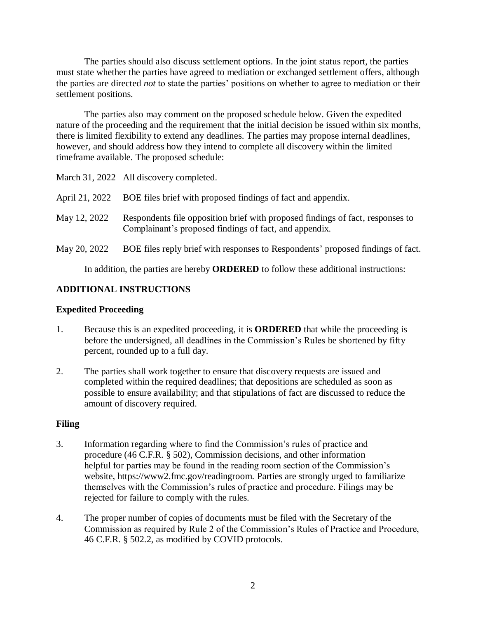The parties should also discuss settlement options. In the joint status report, the parties must state whether the parties have agreed to mediation or exchanged settlement offers, although the parties are directed *not* to state the parties' positions on whether to agree to mediation or their settlement positions.

The parties also may comment on the proposed schedule below. Given the expedited nature of the proceeding and the requirement that the initial decision be issued within six months, there is limited flexibility to extend any deadlines. The parties may propose internal deadlines, however, and should address how they intend to complete all discovery within the limited timeframe available. The proposed schedule:

March 31, 2022 All discovery completed.

|              | April 21, 2022 BOE files brief with proposed findings of fact and appendix.                                                              |
|--------------|------------------------------------------------------------------------------------------------------------------------------------------|
| May 12, 2022 | Respondents file opposition brief with proposed findings of fact, responses to<br>Complainant's proposed findings of fact, and appendix. |
| May 20, 2022 | BOE files reply brief with responses to Respondents' proposed findings of fact.                                                          |

In addition, the parties are hereby **ORDERED** to follow these additional instructions:

# **ADDITIONAL INSTRUCTIONS**

### **Expedited Proceeding**

- 1. Because this is an expedited proceeding, it is **ORDERED** that while the proceeding is before the undersigned, all deadlines in the Commission's Rules be shortened by fifty percent, rounded up to a full day.
- 2. The parties shall work together to ensure that discovery requests are issued and completed within the required deadlines; that depositions are scheduled as soon as possible to ensure availability; and that stipulations of fact are discussed to reduce the amount of discovery required.

# **Filing**

- 3. Information regarding where to find the Commission's rules of practice and procedure (46 C.F.R. § 502), Commission decisions, and other information helpful for parties may be found in the reading room section of the Commission's website, https://www2.fmc.gov/readingroom. Parties are strongly urged to familiarize themselves with the Commission's rules of practice and procedure. Filings may be rejected for failure to comply with the rules.
- 4. The proper number of copies of documents must be filed with the Secretary of the Commission as required by Rule 2 of the Commission's Rules of Practice and Procedure, 46 C.F.R. § 502.2, as modified by COVID protocols.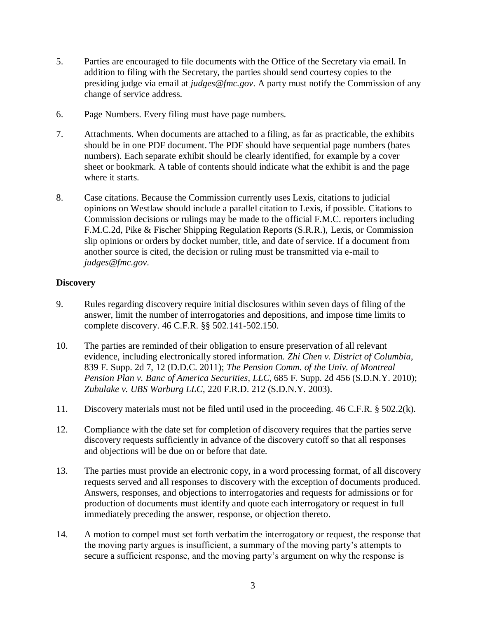- 5. Parties are encouraged to file documents with the Office of the Secretary via email. In addition to filing with the Secretary, the parties should send courtesy copies to the presiding judge via email at *judges@fmc.gov*. A party must notify the Commission of any change of service address.
- 6. Page Numbers. Every filing must have page numbers.
- 7. Attachments. When documents are attached to a filing, as far as practicable, the exhibits should be in one PDF document. The PDF should have sequential page numbers (bates numbers). Each separate exhibit should be clearly identified, for example by a cover sheet or bookmark. A table of contents should indicate what the exhibit is and the page where it starts.
- 8. Case citations. Because the Commission currently uses Lexis, citations to judicial opinions on Westlaw should include a parallel citation to Lexis, if possible. Citations to Commission decisions or rulings may be made to the official F.M.C. reporters including F.M.C.2d, Pike & Fischer Shipping Regulation Reports (S.R.R.), Lexis, or Commission slip opinions or orders by docket number, title, and date of service. If a document from another source is cited, the decision or ruling must be transmitted via e-mail to *judges@fmc.gov*.

#### **Discovery**

- 9. Rules regarding discovery require initial disclosures within seven days of filing of the answer, limit the number of interrogatories and depositions, and impose time limits to complete discovery. 46 C.F.R. §§ 502.141-502.150.
- 10. The parties are reminded of their obligation to ensure preservation of all relevant evidence, including electronically stored information. *Zhi Chen v. District of Columbia*, 839 F. Supp. 2d 7, 12 (D.D.C. 2011); *The Pension Comm. of the Univ. of Montreal Pension Plan v. Banc of America Securities*, *LLC*, 685 F. Supp. 2d 456 (S.D.N.Y. 2010); *Zubulake v. UBS Warburg LLC*, 220 F.R.D. 212 (S.D.N.Y. 2003).
- 11. Discovery materials must not be filed until used in the proceeding. 46 C.F.R. § 502.2(k).
- 12. Compliance with the date set for completion of discovery requires that the parties serve discovery requests sufficiently in advance of the discovery cutoff so that all responses and objections will be due on or before that date.
- 13. The parties must provide an electronic copy, in a word processing format, of all discovery requests served and all responses to discovery with the exception of documents produced. Answers, responses, and objections to interrogatories and requests for admissions or for production of documents must identify and quote each interrogatory or request in full immediately preceding the answer, response, or objection thereto.
- 14. A motion to compel must set forth verbatim the interrogatory or request, the response that the moving party argues is insufficient, a summary of the moving party's attempts to secure a sufficient response, and the moving party's argument on why the response is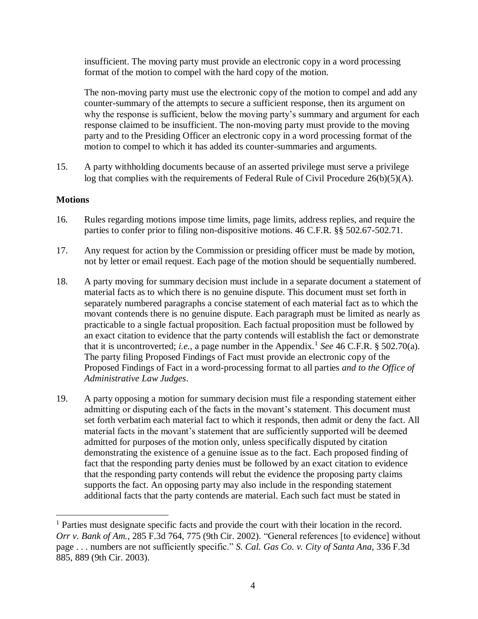insufficient. The moving party must provide an electronic copy in a word processing format of the motion to compel with the hard copy of the motion.

The non-moving party must use the electronic copy of the motion to compel and add any counter-summary of the attempts to secure a sufficient response, then its argument on why the response is sufficient, below the moving party's summary and argument for each response claimed to be insufficient. The non-moving party must provide to the moving party and to the Presiding Officer an electronic copy in a word processing format of the motion to compel to which it has added its counter-summaries and arguments.

15. A party withholding documents because of an asserted privilege must serve a privilege log that complies with the requirements of Federal Rule of Civil Procedure 26(b)(5)(A).

#### **Motions**

 $\overline{a}$ 

- 16. Rules regarding motions impose time limits, page limits, address replies, and require the parties to confer prior to filing non-dispositive motions. 46 C.F.R. §§ 502.67-502.71.
- 17. Any request for action by the Commission or presiding officer must be made by motion, not by letter or email request. Each page of the motion should be sequentially numbered.
- 18. A party moving for summary decision must include in a separate document a statement of material facts as to which there is no genuine dispute. This document must set forth in separately numbered paragraphs a concise statement of each material fact as to which the movant contends there is no genuine dispute. Each paragraph must be limited as nearly as practicable to a single factual proposition. Each factual proposition must be followed by an exact citation to evidence that the party contends will establish the fact or demonstrate that it is uncontroverted; *i.e.*, a page number in the Appendix.<sup>1</sup> See 46 C.F.R. § 502.70(a). The party filing Proposed Findings of Fact must provide an electronic copy of the Proposed Findings of Fact in a word-processing format to all parties *and to the Office of Administrative Law Judges*.
- 19. A party opposing a motion for summary decision must file a responding statement either admitting or disputing each of the facts in the movant's statement. This document must set forth verbatim each material fact to which it responds, then admit or deny the fact. All material facts in the movant's statement that are sufficiently supported will be deemed admitted for purposes of the motion only, unless specifically disputed by citation demonstrating the existence of a genuine issue as to the fact. Each proposed finding of fact that the responding party denies must be followed by an exact citation to evidence that the responding party contends will rebut the evidence the proposing party claims supports the fact. An opposing party may also include in the responding statement additional facts that the party contends are material. Each such fact must be stated in

<sup>&</sup>lt;sup>1</sup> Parties must designate specific facts and provide the court with their location in the record. *Orr v. Bank of Am.*, 285 F.3d 764, 775 (9th Cir. 2002). "General references [to evidence] without page . . . numbers are not sufficiently specific." *S. Cal. Gas Co. v. City of Santa Ana*, 336 F.3d 885, 889 (9th Cir. 2003).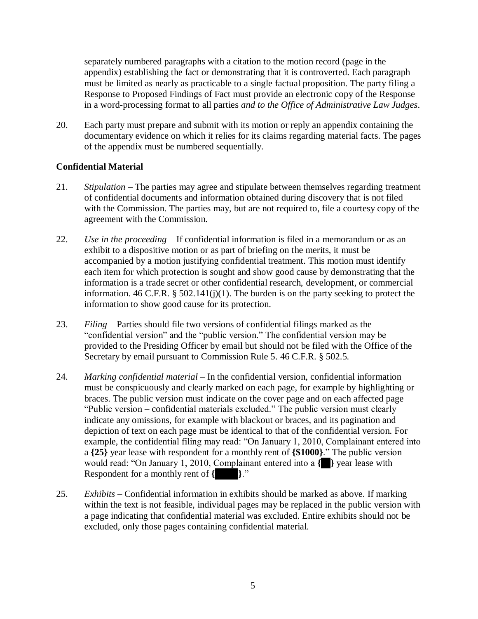separately numbered paragraphs with a citation to the motion record (page in the appendix) establishing the fact or demonstrating that it is controverted. Each paragraph must be limited as nearly as practicable to a single factual proposition. The party filing a Response to Proposed Findings of Fact must provide an electronic copy of the Response in a word-processing format to all parties *and to the Office of Administrative Law Judges*.

20. Each party must prepare and submit with its motion or reply an appendix containing the documentary evidence on which it relies for its claims regarding material facts. The pages of the appendix must be numbered sequentially.

# **Confidential Material**

- 21. *Stipulation* The parties may agree and stipulate between themselves regarding treatment of confidential documents and information obtained during discovery that is not filed with the Commission. The parties may, but are not required to, file a courtesy copy of the agreement with the Commission.
- 22. *Use in the proceeding* If confidential information is filed in a memorandum or as an exhibit to a dispositive motion or as part of briefing on the merits, it must be accompanied by a motion justifying confidential treatment. This motion must identify each item for which protection is sought and show good cause by demonstrating that the information is a trade secret or other confidential research, development, or commercial information. 46 C.F.R.  $\S$  502.141(j)(1). The burden is on the party seeking to protect the information to show good cause for its protection.
- 23. *Filing* Parties should file two versions of confidential filings marked as the "confidential version" and the "public version." The confidential version may be provided to the Presiding Officer by email but should not be filed with the Office of the Secretary by email pursuant to Commission Rule 5. 46 C.F.R. § 502.5.
- 24. *Marking confidential material* In the confidential version, confidential information must be conspicuously and clearly marked on each page, for example by highlighting or braces. The public version must indicate on the cover page and on each affected page "Public version – confidential materials excluded." The public version must clearly indicate any omissions, for example with blackout or braces, and its pagination and depiction of text on each page must be identical to that of the confidential version. For example, the confidential filing may read: "On January 1, 2010, Complainant entered into a **{25}** year lease with respondent for a monthly rent of **{\$1000}**." The public version would read: "On January 1, 2010, Complainant entered into a **{25}** year lease with Respondent for a monthly rent of **{\$1000}**."
- 25. *Exhibits* Confidential information in exhibits should be marked as above. If marking within the text is not feasible, individual pages may be replaced in the public version with a page indicating that confidential material was excluded. Entire exhibits should not be excluded, only those pages containing confidential material.